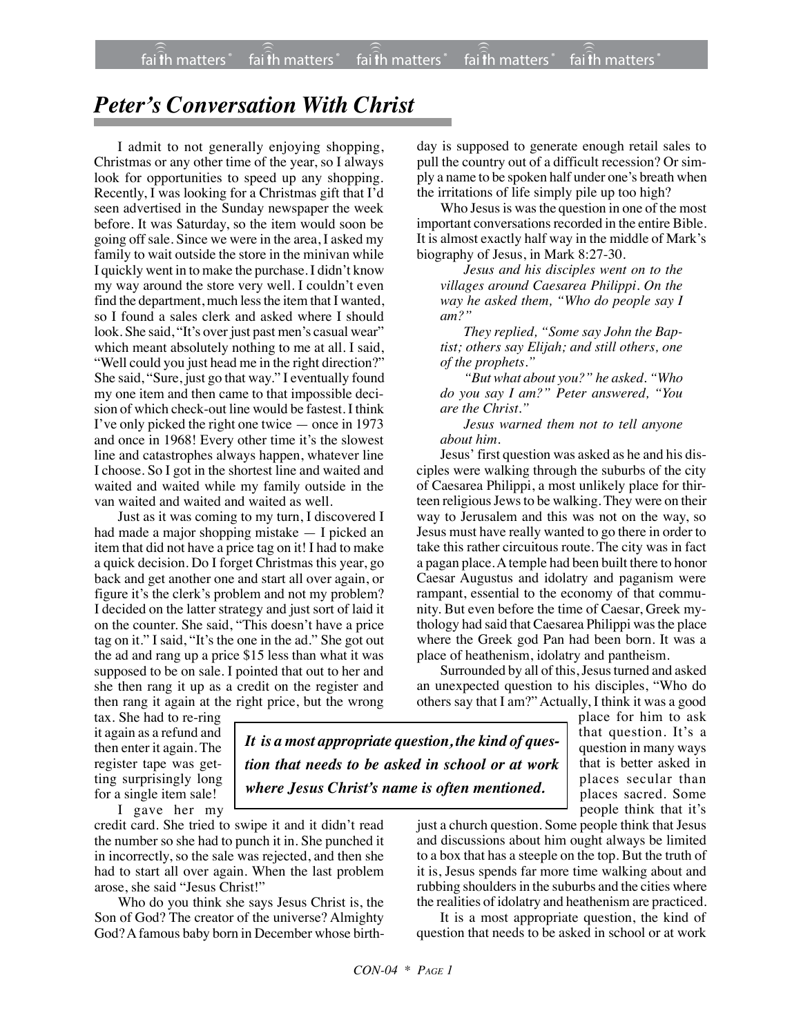## *Peter's Conversation With Christ*

I admit to not generally enjoying shopping, Christmas or any other time of the year, so I always look for opportunities to speed up any shopping. Recently, I was looking for a Christmas gift that I'd seen advertised in the Sunday newspaper the week before. It was Saturday, so the item would soon be going off sale. Since we were in the area, I asked my family to wait outside the store in the minivan while I quickly went in to make the purchase. I didn't know my way around the store very well. I couldn't even find the department, much less the item that I wanted, so I found a sales clerk and asked where I should look. She said, "It's over just past men's casual wear" which meant absolutely nothing to me at all. I said, "Well could you just head me in the right direction?" She said, "Sure, just go that way." I eventually found my one item and then came to that impossible decision of which check-out line would be fastest. I think I've only picked the right one twice — once in 1973 and once in 1968! Every other time it's the slowest line and catastrophes always happen, whatever line I choose. So I got in the shortest line and waited and waited and waited while my family outside in the van waited and waited and waited as well.

Just as it was coming to my turn, I discovered I had made a major shopping mistake — I picked an item that did not have a price tag on it! I had to make a quick decision. Do I forget Christmas this year, go back and get another one and start all over again, or figure it's the clerk's problem and not my problem? I decided on the latter strategy and just sort of laid it on the counter. She said, "This doesn't have a price tag on it." I said, "It's the one in the ad." She got out the ad and rang up a price \$15 less than what it was supposed to be on sale. I pointed that out to her and she then rang it up as a credit on the register and then rang it again at the right price, but the wrong day is supposed to generate enough retail sales to pull the country out of a difficult recession? Or simply a name to be spoken half under one's breath when the irritations of life simply pile up too high?

Who Jesus is was the question in one of the most important conversations recorded in the entire Bible. It is almost exactly half way in the middle of Mark's biography of Jesus, in Mark 8:27-30.

*Jesus and his disciples went on to the villages around Caesarea Philippi. On the way he asked them, "Who do people say I am?"*

*They replied, "Some say John the Baptist; others say Elijah; and still others, one of the prophets."*

*"But what about you?" he asked. "Who do you say I am?" Peter answered, "You are the Christ."*

*Jesus warned them not to tell anyone about him.*

Jesus' first question was asked as he and his disciples were walking through the suburbs of the city of Caesarea Philippi, a most unlikely place for thirteen religious Jewsto be walking. They were on their way to Jerusalem and this was not on the way, so Jesus must have really wanted to go there in order to take this rather circuitous route. The city was in fact a pagan place. A temple had been built there to honor Caesar Augustus and idolatry and paganism were rampant, essential to the economy of that community. But even before the time of Caesar, Greek mythology had said that Caesarea Philippi was the place where the Greek god Pan had been born. It was a place of heathenism, idolatry and pantheism.

Surrounded by all of this, Jesus turned and asked an unexpected question to his disciples, "Who do others say that I am?" Actually, I think it was a good

tax. She had to re-ring it again as a refund and then enter it again. The register tape was getting surprisingly long for a single item sale!

I gave her my

credit card. She tried to swipe it and it didn't read the number so she had to punch it in. She punched it in incorrectly, so the sale was rejected, and then she had to start all over again. When the last problem arose, she said "Jesus Christ!"

Who do you think she says Jesus Christ is, the Son of God? The creator of the universe? Almighty God? A famous baby born in December whose birth-

*It is a most appropriate question, the kind of question that needs to be asked in school or at work where Jesus Christ's name is often mentioned.*

place for him to ask that question. It's a question in many ways that is better asked in places secular than places sacred. Some people think that it's

just a church question. Some people think that Jesus and discussions about him ought always be limited to a box that has a steeple on the top. But the truth of it is, Jesus spends far more time walking about and rubbing shoulders in the suburbs and the cities where the realities of idolatry and heathenism are practiced.

It is a most appropriate question, the kind of question that needs to be asked in school or at work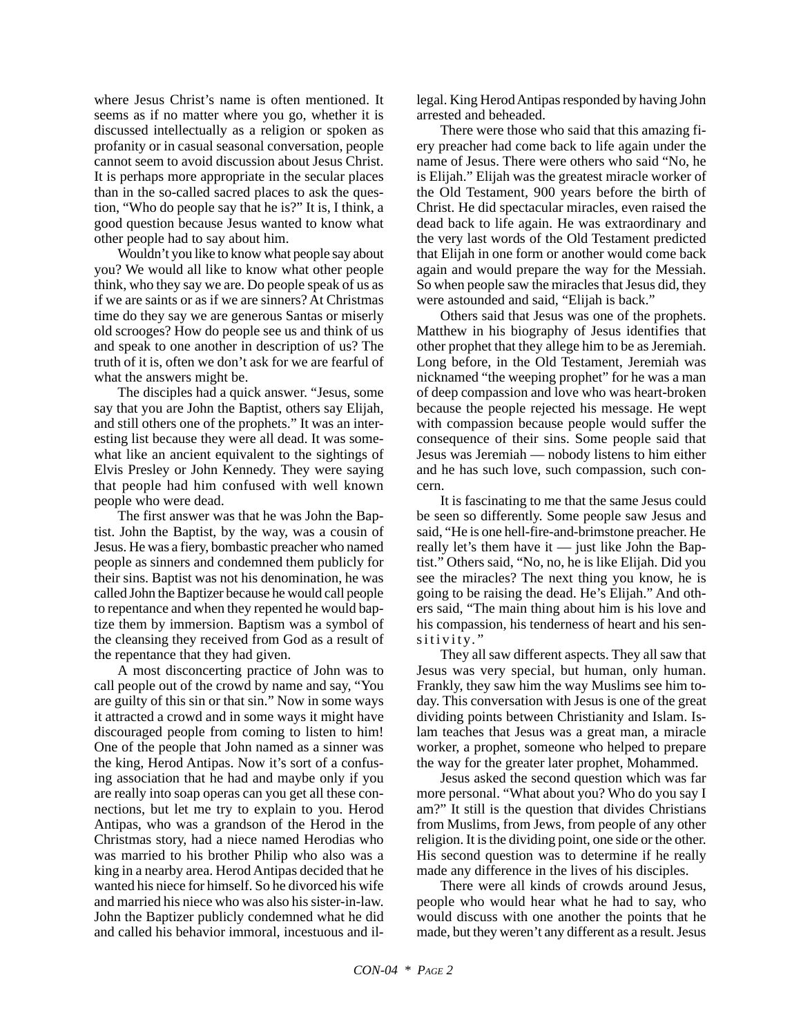where Jesus Christ's name is often mentioned. It seems as if no matter where you go, whether it is discussed intellectually as a religion or spoken as profanity or in casual seasonal conversation, people cannot seem to avoid discussion about Jesus Christ. It is perhaps more appropriate in the secular places than in the so-called sacred places to ask the question, "Who do people say that he is?" It is, I think, a good question because Jesus wanted to know what other people had to say about him.

Wouldn't you like to know what people say about you? We would all like to know what other people think, who they say we are. Do people speak of us as if we are saints or as if we are sinners? At Christmas time do they say we are generous Santas or miserly old scrooges? How do people see us and think of us and speak to one another in description of us? The truth of it is, often we don't ask for we are fearful of what the answers might be.

The disciples had a quick answer. "Jesus, some say that you are John the Baptist, others say Elijah, and still others one of the prophets." It was an interesting list because they were all dead. It was somewhat like an ancient equivalent to the sightings of Elvis Presley or John Kennedy. They were saying that people had him confused with well known people who were dead.

The first answer was that he was John the Baptist. John the Baptist, by the way, was a cousin of Jesus. He was a fiery, bombastic preacher who named people as sinners and condemned them publicly for their sins. Baptist was not his denomination, he was called John the Baptizer because he would call people to repentance and when they repented he would baptize them by immersion. Baptism was a symbol of the cleansing they received from God as a result of the repentance that they had given.

A most disconcerting practice of John was to call people out of the crowd by name and say, "You are guilty of this sin or that sin." Now in some ways it attracted a crowd and in some ways it might have discouraged people from coming to listen to him! One of the people that John named as a sinner was the king, Herod Antipas. Now it's sort of a confusing association that he had and maybe only if you are really into soap operas can you get all these connections, but let me try to explain to you. Herod Antipas, who was a grandson of the Herod in the Christmas story, had a niece named Herodias who was married to his brother Philip who also was a king in a nearby area. Herod Antipas decided that he wanted his niece for himself. So he divorced his wife and married his niece who was also his sister-in-law. John the Baptizer publicly condemned what he did and called his behavior immoral, incestuous and illegal. King Herod Antipas responded by having John arrested and beheaded.

There were those who said that this amazing fiery preacher had come back to life again under the name of Jesus. There were others who said "No, he is Elijah." Elijah was the greatest miracle worker of the Old Testament, 900 years before the birth of Christ. He did spectacular miracles, even raised the dead back to life again. He was extraordinary and the very last words of the Old Testament predicted that Elijah in one form or another would come back again and would prepare the way for the Messiah. So when people saw the miracles that Jesus did, they were astounded and said, "Elijah is back."

Others said that Jesus was one of the prophets. Matthew in his biography of Jesus identifies that other prophet that they allege him to be as Jeremiah. Long before, in the Old Testament, Jeremiah was nicknamed "the weeping prophet" for he was a man of deep compassion and love who was heart-broken because the people rejected his message. He wept with compassion because people would suffer the consequence of their sins. Some people said that Jesus was Jeremiah — nobody listens to him either and he has such love, such compassion, such concern.

It is fascinating to me that the same Jesus could be seen so differently. Some people saw Jesus and said, "He is one hell-fire-and-brimstone preacher. He really let's them have it — just like John the Baptist." Others said, "No, no, he is like Elijah. Did you see the miracles? The next thing you know, he is going to be raising the dead. He's Elijah." And others said, "The main thing about him is his love and his compassion, his tenderness of heart and his sensitivity."

They all saw different aspects. They all saw that Jesus was very special, but human, only human. Frankly, they saw him the way Muslims see him today. This conversation with Jesus is one of the great dividing points between Christianity and Islam. Islam teaches that Jesus was a great man, a miracle worker, a prophet, someone who helped to prepare the way for the greater later prophet, Mohammed.

Jesus asked the second question which was far more personal. "What about you? Who do you say I am?" It still is the question that divides Christians from Muslims, from Jews, from people of any other religion. It is the dividing point, one side or the other. His second question was to determine if he really made any difference in the lives of his disciples.

There were all kinds of crowds around Jesus, people who would hear what he had to say, who would discuss with one another the points that he made, but they weren't any different as a result. Jesus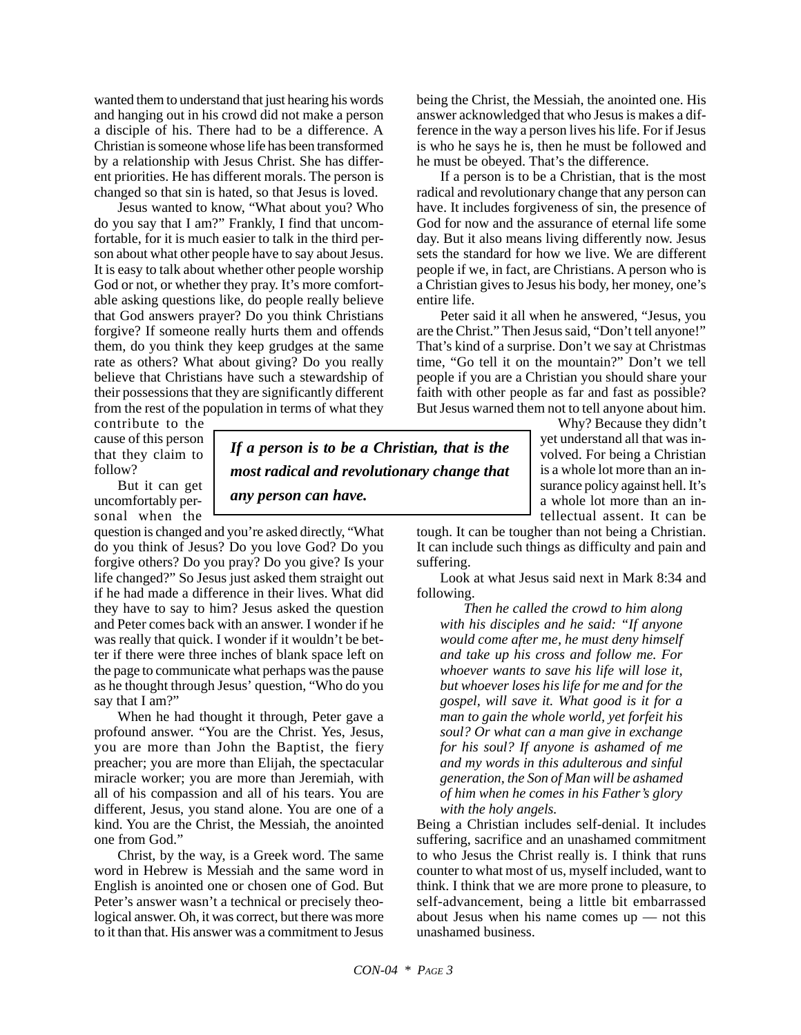wanted them to understand that just hearing his words and hanging out in his crowd did not make a person a disciple of his. There had to be a difference. A Christian is someone whose life has been transformed by a relationship with Jesus Christ. She has different priorities. He has different morals. The person is changed so that sin is hated, so that Jesus is loved.

Jesus wanted to know, "What about you? Who do you say that I am?" Frankly, I find that uncomfortable, for it is much easier to talk in the third person about what other people have to say about Jesus. It is easy to talk about whether other people worship God or not, or whether they pray. It's more comfortable asking questions like, do people really believe that God answers prayer? Do you think Christians forgive? If someone really hurts them and offends them, do you think they keep grudges at the same rate as others? What about giving? Do you really believe that Christians have such a stewardship of their possessions that they are significantly different from the rest of the population in terms of what they

contribute to the cause of this person that they claim to follow?

But it can get uncomfortably personal when the

question is changed and you're asked directly, "What do you think of Jesus? Do you love God? Do you forgive others? Do you pray? Do you give? Is your life changed?" So Jesus just asked them straight out if he had made a difference in their lives. What did they have to say to him? Jesus asked the question and Peter comes back with an answer. I wonder if he was really that quick. I wonder if it wouldn't be better if there were three inches of blank space left on the page to communicate what perhaps was the pause as he thought through Jesus' question, "Who do you say that I am?"

When he had thought it through, Peter gave a profound answer. "You are the Christ. Yes, Jesus, you are more than John the Baptist, the fiery preacher; you are more than Elijah, the spectacular miracle worker; you are more than Jeremiah, with all of his compassion and all of his tears. You are different, Jesus, you stand alone. You are one of a kind. You are the Christ, the Messiah, the anointed one from God."

Christ, by the way, is a Greek word. The same word in Hebrew is Messiah and the same word in English is anointed one or chosen one of God. But Peter's answer wasn't a technical or precisely theological answer. Oh, it was correct, but there was more to it than that. His answer was a commitment to Jesus

*If a person is to be a Christian, that is the most radical and revolutionary change that*

*any person can have.*

being the Christ, the Messiah, the anointed one. His answer acknowledged that who Jesus is makes a difference in the way a person lives his life. For if Jesus is who he says he is, then he must be followed and he must be obeyed. That's the difference.

If a person is to be a Christian, that is the most radical and revolutionary change that any person can have. It includes forgiveness of sin, the presence of God for now and the assurance of eternal life some day. But it also means living differently now. Jesus sets the standard for how we live. We are different people if we, in fact, are Christians. A person who is a Christian gives to Jesus his body, her money, one's entire life.

Peter said it all when he answered, "Jesus, you are the Christ." Then Jesus said, "Don't tell anyone!" That's kind of a surprise. Don't we say at Christmas time, "Go tell it on the mountain?" Don't we tell people if you are a Christian you should share your faith with other people as far and fast as possible? But Jesus warned them not to tell anyone about him.

> Why? Because they didn't yet understand all that was involved. For being a Christian is a whole lot more than an insurance policy against hell. It's a whole lot more than an intellectual assent. It can be

tough. It can be tougher than not being a Christian. It can include such things as difficulty and pain and suffering.

Look at what Jesus said next in Mark 8:34 and following.

*Then he called the crowd to him along with his disciples and he said: "If anyone would come after me, he must deny himself and take up his cross and follow me. For whoever wants to save his life will lose it, but whoever loses his life for me and for the gospel, will save it. What good is it for a man to gain the whole world, yet forfeit his soul? Or what can a man give in exchange for his soul? If anyone is ashamed of me and my words in this adulterous and sinful generation, the Son of Man will be ashamed of him when he comes in his Father's glory with the holy angels.*

Being a Christian includes self-denial. It includes suffering, sacrifice and an unashamed commitment to who Jesus the Christ really is. I think that runs counter to what most of us, myself included, want to think. I think that we are more prone to pleasure, to self-advancement, being a little bit embarrassed about Jesus when his name comes up — not this unashamed business.